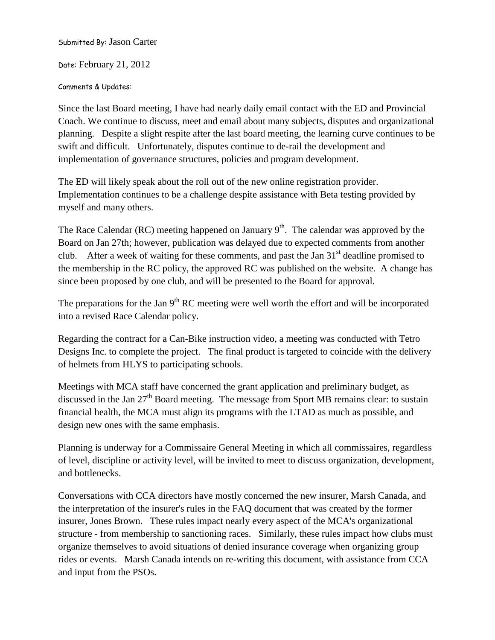Submitted By: Jason Carter

Date: February 21, 2012

## Comments & Updates:

Since the last Board meeting, I have had nearly daily email contact with the ED and Provincial Coach. We continue to discuss, meet and email about many subjects, disputes and organizational planning. Despite a slight respite after the last board meeting, the learning curve continues to be swift and difficult. Unfortunately, disputes continue to de-rail the development and implementation of governance structures, policies and program development.

The ED will likely speak about the roll out of the new online registration provider. Implementation continues to be a challenge despite assistance with Beta testing provided by myself and many others.

The Race Calendar (RC) meeting happened on January  $9<sup>th</sup>$ . The calendar was approved by the Board on Jan 27th; however, publication was delayed due to expected comments from another club. After a week of waiting for these comments, and past the Jan  $31<sup>st</sup>$  deadline promised to the membership in the RC policy, the approved RC was published on the website. A change has since been proposed by one club, and will be presented to the Board for approval.

The preparations for the Jan  $9<sup>th</sup> RC$  meeting were well worth the effort and will be incorporated into a revised Race Calendar policy.

Regarding the contract for a Can-Bike instruction video, a meeting was conducted with Tetro Designs Inc. to complete the project. The final product is targeted to coincide with the delivery of helmets from HLYS to participating schools.

Meetings with MCA staff have concerned the grant application and preliminary budget, as discussed in the Jan  $27<sup>th</sup>$  Board meeting. The message from Sport MB remains clear: to sustain financial health, the MCA must align its programs with the LTAD as much as possible, and design new ones with the same emphasis.

Planning is underway for a Commissaire General Meeting in which all commissaires, regardless of level, discipline or activity level, will be invited to meet to discuss organization, development, and bottlenecks.

Conversations with CCA directors have mostly concerned the new insurer, Marsh Canada, and the interpretation of the insurer's rules in the FAQ document that was created by the former insurer, Jones Brown. These rules impact nearly every aspect of the MCA's organizational structure - from membership to sanctioning races. Similarly, these rules impact how clubs must organize themselves to avoid situations of denied insurance coverage when organizing group rides or events. Marsh Canada intends on re-writing this document, with assistance from CCA and input from the PSOs.